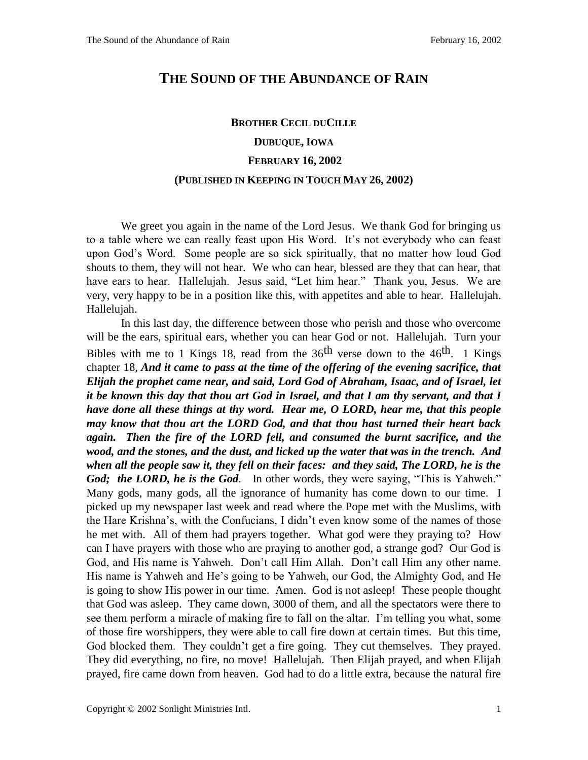## **THE SOUND OF THE ABUNDANCE OF RAIN**

## **BROTHER CECIL DUCILLE DUBUQUE, IOWA FEBRUARY 16, 2002 (PUBLISHED IN KEEPING IN TOUCH MAY 26, 2002)**

We greet you again in the name of the Lord Jesus. We thank God for bringing us to a table where we can really feast upon His Word. It's not everybody who can feast upon God's Word. Some people are so sick spiritually, that no matter how loud God shouts to them, they will not hear. We who can hear, blessed are they that can hear, that have ears to hear. Hallelujah. Jesus said, "Let him hear." Thank you, Jesus. We are very, very happy to be in a position like this, with appetites and able to hear. Hallelujah. Hallelujah.

In this last day, the difference between those who perish and those who overcome will be the ears, spiritual ears, whether you can hear God or not. Hallelujah. Turn your Bibles with me to 1 Kings 18, read from the  $36<sup>th</sup>$  verse down to the  $46<sup>th</sup>$ . 1 Kings chapter 18, *And it came to pass at the time of the offering of the evening sacrifice, that Elijah the prophet came near, and said, Lord God of Abraham, Isaac, and of Israel, let it be known this day that thou art God in Israel, and that I am thy servant, and that I have done all these things at thy word. Hear me, O LORD, hear me, that this people may know that thou art the LORD God, and that thou hast turned their heart back again. Then the fire of the LORD fell, and consumed the burnt sacrifice, and the wood, and the stones, and the dust, and licked up the water that was in the trench. And when all the people saw it, they fell on their faces: and they said, The LORD, he is the God; the LORD, he is the God.* In other words, they were saying, "This is Yahweh." Many gods, many gods, all the ignorance of humanity has come down to our time. I picked up my newspaper last week and read where the Pope met with the Muslims, with the Hare Krishna's, with the Confucians, I didn't even know some of the names of those he met with. All of them had prayers together. What god were they praying to? How can I have prayers with those who are praying to another god, a strange god? Our God is God, and His name is Yahweh. Don't call Him Allah. Don't call Him any other name. His name is Yahweh and He's going to be Yahweh, our God, the Almighty God, and He is going to show His power in our time. Amen. God is not asleep! These people thought that God was asleep. They came down, 3000 of them, and all the spectators were there to see them perform a miracle of making fire to fall on the altar. I'm telling you what, some of those fire worshippers, they were able to call fire down at certain times. But this time, God blocked them. They couldn't get a fire going. They cut themselves. They prayed. They did everything, no fire, no move! Hallelujah. Then Elijah prayed, and when Elijah prayed, fire came down from heaven. God had to do a little extra, because the natural fire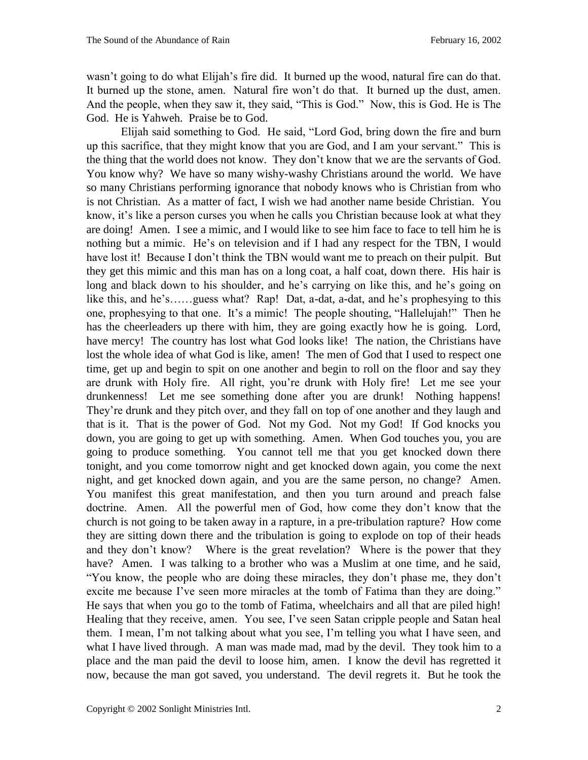wasn't going to do what Elijah's fire did. It burned up the wood, natural fire can do that. It burned up the stone, amen. Natural fire won't do that. It burned up the dust, amen. And the people, when they saw it, they said, "This is God." Now, this is God. He is The God. He is Yahweh. Praise be to God.

Elijah said something to God. He said, "Lord God, bring down the fire and burn up this sacrifice, that they might know that you are God, and I am your servant." This is the thing that the world does not know. They don't know that we are the servants of God. You know why? We have so many wishy-washy Christians around the world. We have so many Christians performing ignorance that nobody knows who is Christian from who is not Christian. As a matter of fact, I wish we had another name beside Christian. You know, it's like a person curses you when he calls you Christian because look at what they are doing! Amen. I see a mimic, and I would like to see him face to face to tell him he is nothing but a mimic. He's on television and if I had any respect for the TBN, I would have lost it! Because I don't think the TBN would want me to preach on their pulpit. But they get this mimic and this man has on a long coat, a half coat, down there. His hair is long and black down to his shoulder, and he's carrying on like this, and he's going on like this, and he's……guess what? Rap! Dat, a-dat, a-dat, and he's prophesying to this one, prophesying to that one. It's a mimic! The people shouting, "Hallelujah!" Then he has the cheerleaders up there with him, they are going exactly how he is going. Lord, have mercy! The country has lost what God looks like! The nation, the Christians have lost the whole idea of what God is like, amen! The men of God that I used to respect one time, get up and begin to spit on one another and begin to roll on the floor and say they are drunk with Holy fire. All right, you're drunk with Holy fire! Let me see your drunkenness! Let me see something done after you are drunk! Nothing happens! They're drunk and they pitch over, and they fall on top of one another and they laugh and that is it. That is the power of God. Not my God. Not my God! If God knocks you down, you are going to get up with something. Amen. When God touches you, you are going to produce something. You cannot tell me that you get knocked down there tonight, and you come tomorrow night and get knocked down again, you come the next night, and get knocked down again, and you are the same person, no change? Amen. You manifest this great manifestation, and then you turn around and preach false doctrine. Amen. All the powerful men of God, how come they don't know that the church is not going to be taken away in a rapture, in a pre-tribulation rapture? How come they are sitting down there and the tribulation is going to explode on top of their heads and they don't know? Where is the great revelation? Where is the power that they have? Amen. I was talking to a brother who was a Muslim at one time, and he said, "You know, the people who are doing these miracles, they don't phase me, they don't excite me because I've seen more miracles at the tomb of Fatima than they are doing." He says that when you go to the tomb of Fatima, wheelchairs and all that are piled high! Healing that they receive, amen. You see, I've seen Satan cripple people and Satan heal them. I mean, I'm not talking about what you see, I'm telling you what I have seen, and what I have lived through. A man was made mad, mad by the devil. They took him to a place and the man paid the devil to loose him, amen. I know the devil has regretted it now, because the man got saved, you understand. The devil regrets it. But he took the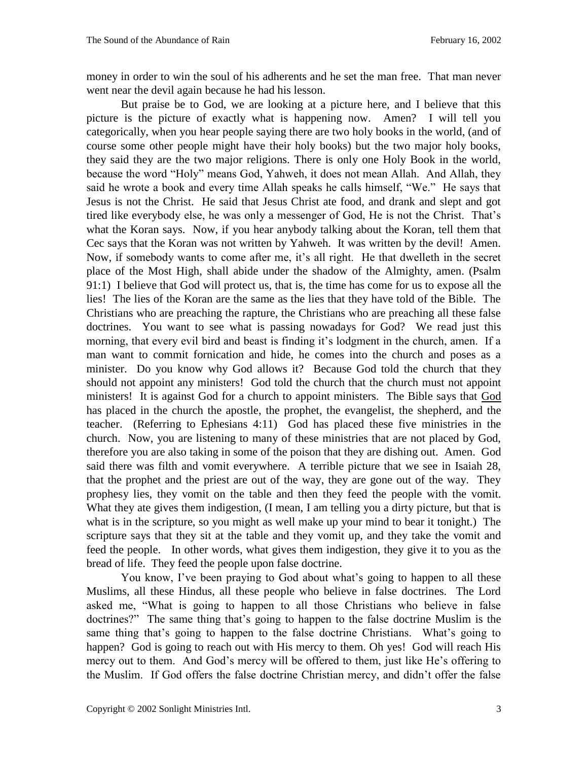money in order to win the soul of his adherents and he set the man free. That man never went near the devil again because he had his lesson.

But praise be to God, we are looking at a picture here, and I believe that this picture is the picture of exactly what is happening now. Amen? I will tell you categorically, when you hear people saying there are two holy books in the world, (and of course some other people might have their holy books) but the two major holy books, they said they are the two major religions. There is only one Holy Book in the world, because the word "Holy" means God, Yahweh, it does not mean Allah. And Allah, they said he wrote a book and every time Allah speaks he calls himself, "We." He says that Jesus is not the Christ. He said that Jesus Christ ate food, and drank and slept and got tired like everybody else, he was only a messenger of God, He is not the Christ. That's what the Koran says. Now, if you hear anybody talking about the Koran, tell them that Cec says that the Koran was not written by Yahweh. It was written by the devil! Amen. Now, if somebody wants to come after me, it's all right. He that dwelleth in the secret place of the Most High, shall abide under the shadow of the Almighty, amen. (Psalm 91:1) I believe that God will protect us, that is, the time has come for us to expose all the lies! The lies of the Koran are the same as the lies that they have told of the Bible. The Christians who are preaching the rapture, the Christians who are preaching all these false doctrines. You want to see what is passing nowadays for God? We read just this morning, that every evil bird and beast is finding it's lodgment in the church, amen. If a man want to commit fornication and hide, he comes into the church and poses as a minister. Do you know why God allows it? Because God told the church that they should not appoint any ministers! God told the church that the church must not appoint ministers! It is against God for a church to appoint ministers. The Bible says that God has placed in the church the apostle, the prophet, the evangelist, the shepherd, and the teacher. (Referring to Ephesians 4:11) God has placed these five ministries in the church. Now, you are listening to many of these ministries that are not placed by God, therefore you are also taking in some of the poison that they are dishing out. Amen. God said there was filth and vomit everywhere. A terrible picture that we see in Isaiah 28, that the prophet and the priest are out of the way, they are gone out of the way. They prophesy lies, they vomit on the table and then they feed the people with the vomit. What they ate gives them indigestion, (I mean, I am telling you a dirty picture, but that is what is in the scripture, so you might as well make up your mind to bear it tonight.) The scripture says that they sit at the table and they vomit up, and they take the vomit and feed the people. In other words, what gives them indigestion, they give it to you as the bread of life. They feed the people upon false doctrine.

You know, I've been praying to God about what's going to happen to all these Muslims, all these Hindus, all these people who believe in false doctrines. The Lord asked me, "What is going to happen to all those Christians who believe in false doctrines?" The same thing that's going to happen to the false doctrine Muslim is the same thing that's going to happen to the false doctrine Christians. What's going to happen? God is going to reach out with His mercy to them. Oh yes! God will reach His mercy out to them. And God's mercy will be offered to them, just like He's offering to the Muslim. If God offers the false doctrine Christian mercy, and didn't offer the false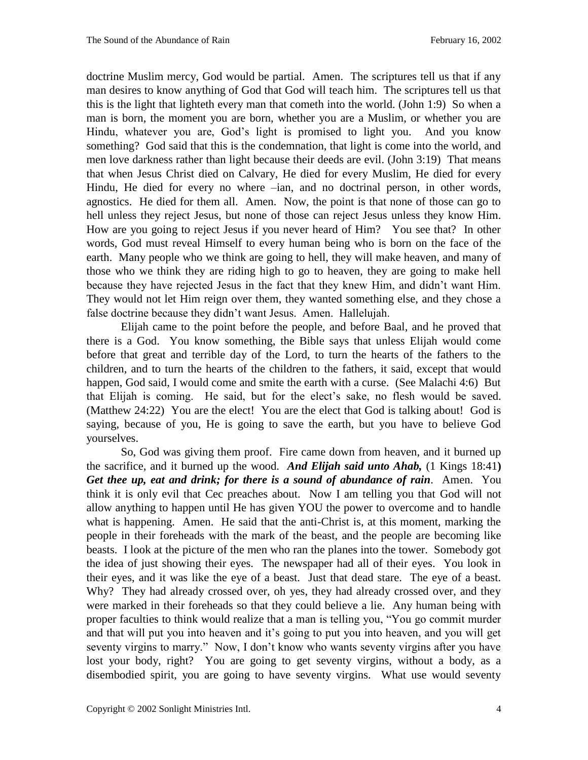doctrine Muslim mercy, God would be partial. Amen. The scriptures tell us that if any man desires to know anything of God that God will teach him. The scriptures tell us that this is the light that lighteth every man that cometh into the world. (John 1:9) So when a man is born, the moment you are born, whether you are a Muslim, or whether you are Hindu, whatever you are, God's light is promised to light you. And you know something? God said that this is the condemnation, that light is come into the world, and men love darkness rather than light because their deeds are evil. (John 3:19) That means that when Jesus Christ died on Calvary, He died for every Muslim, He died for every Hindu, He died for every no where –ian, and no doctrinal person, in other words, agnostics. He died for them all. Amen. Now, the point is that none of those can go to hell unless they reject Jesus, but none of those can reject Jesus unless they know Him. How are you going to reject Jesus if you never heard of Him? You see that? In other words, God must reveal Himself to every human being who is born on the face of the earth. Many people who we think are going to hell, they will make heaven, and many of those who we think they are riding high to go to heaven, they are going to make hell because they have rejected Jesus in the fact that they knew Him, and didn't want Him. They would not let Him reign over them, they wanted something else, and they chose a false doctrine because they didn't want Jesus. Amen. Hallelujah.

Elijah came to the point before the people, and before Baal, and he proved that there is a God. You know something, the Bible says that unless Elijah would come before that great and terrible day of the Lord, to turn the hearts of the fathers to the children, and to turn the hearts of the children to the fathers, it said, except that would happen, God said, I would come and smite the earth with a curse. (See Malachi 4:6) But that Elijah is coming. He said, but for the elect's sake, no flesh would be saved. (Matthew 24:22) You are the elect! You are the elect that God is talking about! God is saying, because of you, He is going to save the earth, but you have to believe God yourselves.

So, God was giving them proof. Fire came down from heaven, and it burned up the sacrifice, and it burned up the wood. *And Elijah said unto Ahab,* (1 Kings 18:41**)**  *Get thee up, eat and drink; for there is a sound of abundance of rain.* Amen. You think it is only evil that Cec preaches about. Now I am telling you that God will not allow anything to happen until He has given YOU the power to overcome and to handle what is happening. Amen. He said that the anti-Christ is, at this moment, marking the people in their foreheads with the mark of the beast, and the people are becoming like beasts. I look at the picture of the men who ran the planes into the tower. Somebody got the idea of just showing their eyes. The newspaper had all of their eyes. You look in their eyes, and it was like the eye of a beast. Just that dead stare. The eye of a beast. Why? They had already crossed over, oh yes, they had already crossed over, and they were marked in their foreheads so that they could believe a lie. Any human being with proper faculties to think would realize that a man is telling you, "You go commit murder and that will put you into heaven and it's going to put you into heaven, and you will get seventy virgins to marry." Now, I don't know who wants seventy virgins after you have lost your body, right? You are going to get seventy virgins, without a body, as a disembodied spirit, you are going to have seventy virgins. What use would seventy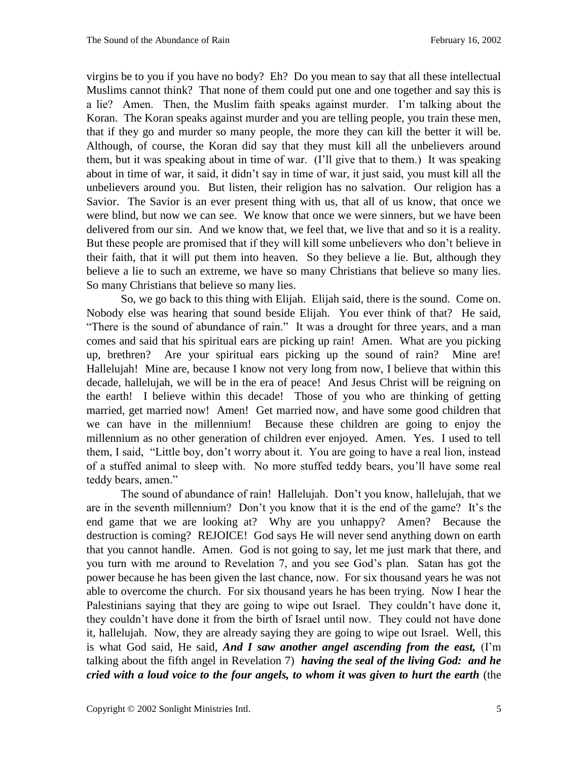virgins be to you if you have no body? Eh? Do you mean to say that all these intellectual Muslims cannot think? That none of them could put one and one together and say this is a lie? Amen. Then, the Muslim faith speaks against murder. I'm talking about the Koran. The Koran speaks against murder and you are telling people, you train these men, that if they go and murder so many people, the more they can kill the better it will be. Although, of course, the Koran did say that they must kill all the unbelievers around them, but it was speaking about in time of war. (I'll give that to them.) It was speaking about in time of war, it said, it didn't say in time of war, it just said, you must kill all the unbelievers around you. But listen, their religion has no salvation. Our religion has a Savior. The Savior is an ever present thing with us, that all of us know, that once we were blind, but now we can see. We know that once we were sinners, but we have been delivered from our sin. And we know that, we feel that, we live that and so it is a reality. But these people are promised that if they will kill some unbelievers who don't believe in their faith, that it will put them into heaven. So they believe a lie. But, although they believe a lie to such an extreme, we have so many Christians that believe so many lies. So many Christians that believe so many lies.

So, we go back to this thing with Elijah. Elijah said, there is the sound. Come on. Nobody else was hearing that sound beside Elijah. You ever think of that? He said, "There is the sound of abundance of rain." It was a drought for three years, and a man comes and said that his spiritual ears are picking up rain! Amen. What are you picking up, brethren? Are your spiritual ears picking up the sound of rain? Mine are! Hallelujah! Mine are, because I know not very long from now, I believe that within this decade, hallelujah, we will be in the era of peace! And Jesus Christ will be reigning on the earth! I believe within this decade! Those of you who are thinking of getting married, get married now! Amen! Get married now, and have some good children that we can have in the millennium! Because these children are going to enjoy the millennium as no other generation of children ever enjoyed. Amen. Yes. I used to tell them, I said, "Little boy, don't worry about it. You are going to have a real lion, instead of a stuffed animal to sleep with. No more stuffed teddy bears, you'll have some real teddy bears, amen."

The sound of abundance of rain! Hallelujah. Don't you know, hallelujah, that we are in the seventh millennium? Don't you know that it is the end of the game? It's the end game that we are looking at? Why are you unhappy? Amen? Because the destruction is coming? REJOICE! God says He will never send anything down on earth that you cannot handle. Amen. God is not going to say, let me just mark that there, and you turn with me around to Revelation 7, and you see God's plan. Satan has got the power because he has been given the last chance, now. For six thousand years he was not able to overcome the church. For six thousand years he has been trying. Now I hear the Palestinians saying that they are going to wipe out Israel. They couldn't have done it, they couldn't have done it from the birth of Israel until now. They could not have done it, hallelujah. Now, they are already saying they are going to wipe out Israel. Well, this is what God said, He said, *And I saw another angel ascending from the east,* (I'm talking about the fifth angel in Revelation 7) *having the seal of the living God: and he cried with a loud voice to the four angels, to whom it was given to hurt the earth* (the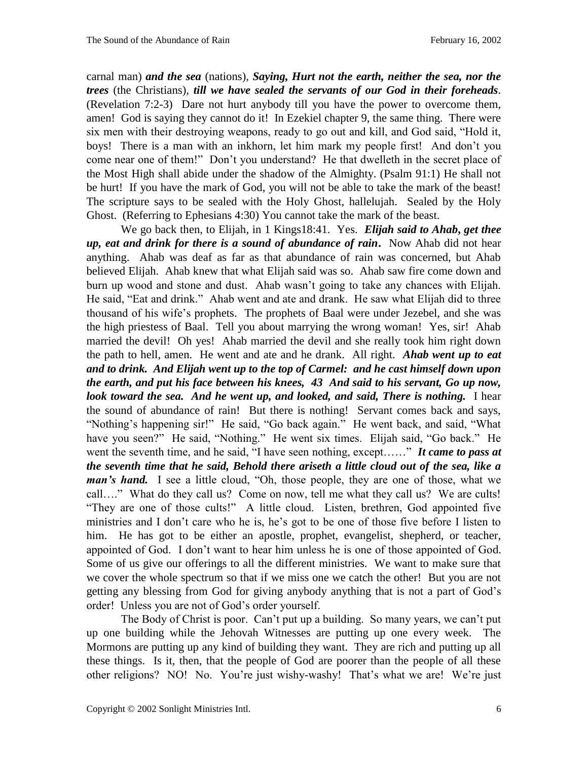carnal man) *and the sea* (nations)*, Saying, Hurt not the earth, neither the sea, nor the trees* (the Christians)*, till we have sealed the servants of our God in their foreheads.*  (Revelation 7:2-3) Dare not hurt anybody till you have the power to overcome them, amen! God is saying they cannot do it! In Ezekiel chapter 9, the same thing. There were six men with their destroying weapons, ready to go out and kill, and God said, "Hold it, boys! There is a man with an inkhorn, let him mark my people first! And don't you come near one of them!" Don't you understand? He that dwelleth in the secret place of the Most High shall abide under the shadow of the Almighty. (Psalm 91:1) He shall not be hurt! If you have the mark of God, you will not be able to take the mark of the beast! The scripture says to be sealed with the Holy Ghost, hallelujah. Sealed by the Holy Ghost. (Referring to Ephesians 4:30) You cannot take the mark of the beast.

We go back then, to Elijah, in 1 Kings18:41. Yes. *Elijah said to Ahab***,** *get thee up, eat and drink for there is a sound of abundance of rain***.** Now Ahab did not hear anything. Ahab was deaf as far as that abundance of rain was concerned, but Ahab believed Elijah. Ahab knew that what Elijah said was so. Ahab saw fire come down and burn up wood and stone and dust. Ahab wasn't going to take any chances with Elijah. He said, "Eat and drink." Ahab went and ate and drank. He saw what Elijah did to three thousand of his wife's prophets. The prophets of Baal were under Jezebel, and she was the high priestess of Baal. Tell you about marrying the wrong woman! Yes, sir! Ahab married the devil! Oh yes! Ahab married the devil and she really took him right down the path to hell, amen. He went and ate and he drank. All right. *Ahab went up to eat and to drink. And Elijah went up to the top of Carmel: and he cast himself down upon the earth, and put his face between his knees, 43 And said to his servant, Go up now, look toward the sea. And he went up, and looked, and said, There is nothing.* I hear the sound of abundance of rain! But there is nothing! Servant comes back and says, "Nothing's happening sir!" He said, "Go back again." He went back, and said, "What have you seen?" He said, "Nothing." He went six times. Elijah said, "Go back." He went the seventh time, and he said, "I have seen nothing, except......" It came to pass at *the seventh time that he said, Behold there ariseth a little cloud out of the sea, like a man's hand.* I see a little cloud, "Oh, those people, they are one of those, what we call…." What do they call us? Come on now, tell me what they call us? We are cults! "They are one of those cults!" A little cloud. Listen, brethren, God appointed five ministries and I don't care who he is, he's got to be one of those five before I listen to him. He has got to be either an apostle, prophet, evangelist, shepherd, or teacher, appointed of God. I don't want to hear him unless he is one of those appointed of God. Some of us give our offerings to all the different ministries. We want to make sure that we cover the whole spectrum so that if we miss one we catch the other! But you are not getting any blessing from God for giving anybody anything that is not a part of God's order! Unless you are not of God's order yourself.

The Body of Christ is poor. Can't put up a building. So many years, we can't put up one building while the Jehovah Witnesses are putting up one every week. The Mormons are putting up any kind of building they want. They are rich and putting up all these things. Is it, then, that the people of God are poorer than the people of all these other religions? NO! No. You're just wishy-washy! That's what we are! We're just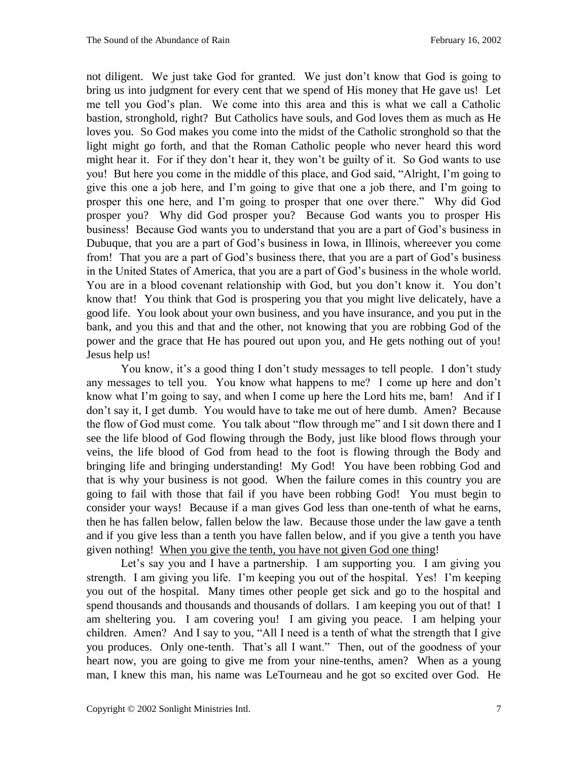not diligent. We just take God for granted. We just don't know that God is going to bring us into judgment for every cent that we spend of His money that He gave us! Let me tell you God's plan. We come into this area and this is what we call a Catholic bastion, stronghold, right? But Catholics have souls, and God loves them as much as He loves you. So God makes you come into the midst of the Catholic stronghold so that the light might go forth, and that the Roman Catholic people who never heard this word might hear it. For if they don't hear it, they won't be guilty of it. So God wants to use you! But here you come in the middle of this place, and God said, "Alright, I'm going to give this one a job here, and I'm going to give that one a job there, and I'm going to prosper this one here, and I'm going to prosper that one over there." Why did God prosper you? Why did God prosper you? Because God wants you to prosper His business! Because God wants you to understand that you are a part of God's business in Dubuque, that you are a part of God's business in Iowa, in Illinois, whereever you come from! That you are a part of God's business there, that you are a part of God's business in the United States of America, that you are a part of God's business in the whole world. You are in a blood covenant relationship with God, but you don't know it. You don't know that! You think that God is prospering you that you might live delicately, have a good life. You look about your own business, and you have insurance, and you put in the bank, and you this and that and the other, not knowing that you are robbing God of the power and the grace that He has poured out upon you, and He gets nothing out of you! Jesus help us!

You know, it's a good thing I don't study messages to tell people. I don't study any messages to tell you. You know what happens to me? I come up here and don't know what I'm going to say, and when I come up here the Lord hits me, bam! And if I don't say it, I get dumb. You would have to take me out of here dumb. Amen? Because the flow of God must come. You talk about "flow through me" and I sit down there and I see the life blood of God flowing through the Body, just like blood flows through your veins, the life blood of God from head to the foot is flowing through the Body and bringing life and bringing understanding! My God! You have been robbing God and that is why your business is not good. When the failure comes in this country you are going to fail with those that fail if you have been robbing God! You must begin to consider your ways! Because if a man gives God less than one-tenth of what he earns, then he has fallen below, fallen below the law. Because those under the law gave a tenth and if you give less than a tenth you have fallen below, and if you give a tenth you have given nothing! When you give the tenth, you have not given God one thing!

Let's say you and I have a partnership. I am supporting you. I am giving you strength. I am giving you life. I'm keeping you out of the hospital. Yes! I'm keeping you out of the hospital. Many times other people get sick and go to the hospital and spend thousands and thousands and thousands of dollars. I am keeping you out of that! I am sheltering you. I am covering you! I am giving you peace. I am helping your children. Amen? And I say to you, "All I need is a tenth of what the strength that I give you produces. Only one-tenth. That's all I want." Then, out of the goodness of your heart now, you are going to give me from your nine-tenths, amen? When as a young man, I knew this man, his name was LeTourneau and he got so excited over God. He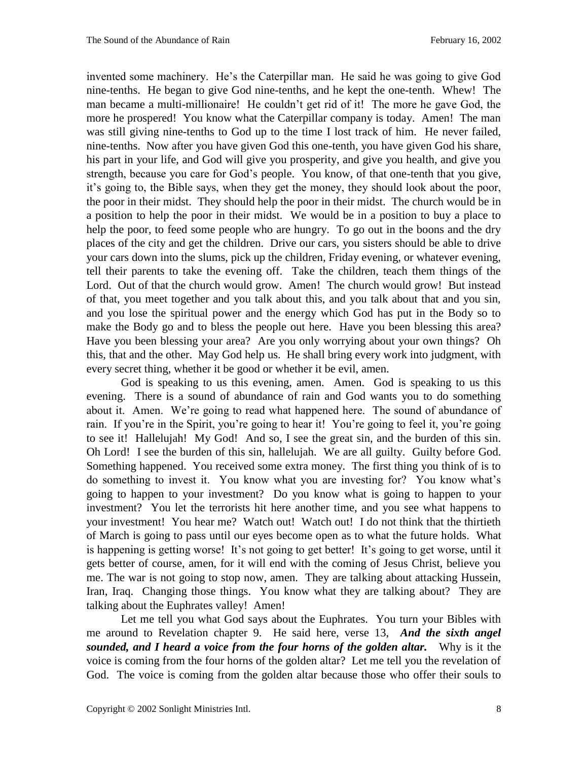invented some machinery. He's the Caterpillar man. He said he was going to give God nine-tenths. He began to give God nine-tenths, and he kept the one-tenth. Whew! The man became a multi-millionaire! He couldn't get rid of it! The more he gave God, the more he prospered! You know what the Caterpillar company is today. Amen! The man was still giving nine-tenths to God up to the time I lost track of him. He never failed, nine-tenths. Now after you have given God this one-tenth, you have given God his share, his part in your life, and God will give you prosperity, and give you health, and give you strength, because you care for God's people. You know, of that one-tenth that you give, it's going to, the Bible says, when they get the money, they should look about the poor, the poor in their midst. They should help the poor in their midst. The church would be in a position to help the poor in their midst. We would be in a position to buy a place to help the poor, to feed some people who are hungry. To go out in the boons and the dry places of the city and get the children. Drive our cars, you sisters should be able to drive your cars down into the slums, pick up the children, Friday evening, or whatever evening, tell their parents to take the evening off. Take the children, teach them things of the Lord. Out of that the church would grow. Amen! The church would grow! But instead of that, you meet together and you talk about this, and you talk about that and you sin, and you lose the spiritual power and the energy which God has put in the Body so to make the Body go and to bless the people out here. Have you been blessing this area? Have you been blessing your area? Are you only worrying about your own things? Oh this, that and the other. May God help us. He shall bring every work into judgment, with every secret thing, whether it be good or whether it be evil, amen.

God is speaking to us this evening, amen. Amen. God is speaking to us this evening. There is a sound of abundance of rain and God wants you to do something about it. Amen. We're going to read what happened here. The sound of abundance of rain. If you're in the Spirit, you're going to hear it! You're going to feel it, you're going to see it! Hallelujah! My God! And so, I see the great sin, and the burden of this sin. Oh Lord! I see the burden of this sin, hallelujah. We are all guilty. Guilty before God. Something happened. You received some extra money. The first thing you think of is to do something to invest it. You know what you are investing for? You know what's going to happen to your investment? Do you know what is going to happen to your investment? You let the terrorists hit here another time, and you see what happens to your investment! You hear me? Watch out! Watch out! I do not think that the thirtieth of March is going to pass until our eyes become open as to what the future holds. What is happening is getting worse! It's not going to get better! It's going to get worse, until it gets better of course, amen, for it will end with the coming of Jesus Christ, believe you me. The war is not going to stop now, amen. They are talking about attacking Hussein, Iran, Iraq. Changing those things. You know what they are talking about? They are talking about the Euphrates valley! Amen!

Let me tell you what God says about the Euphrates. You turn your Bibles with me around to Revelation chapter 9. He said here, verse 13, *And the sixth angel sounded, and I heard a voice from the four horns of the golden altar.* Why is it the voice is coming from the four horns of the golden altar? Let me tell you the revelation of God. The voice is coming from the golden altar because those who offer their souls to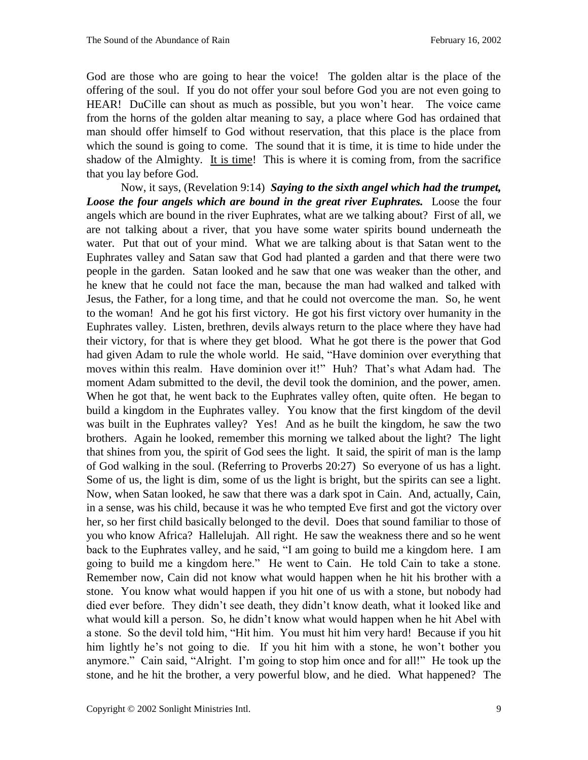God are those who are going to hear the voice! The golden altar is the place of the offering of the soul. If you do not offer your soul before God you are not even going to HEAR! DuCille can shout as much as possible, but you won't hear. The voice came from the horns of the golden altar meaning to say, a place where God has ordained that man should offer himself to God without reservation, that this place is the place from which the sound is going to come. The sound that it is time, it is time to hide under the shadow of the Almighty. It is time! This is where it is coming from, from the sacrifice that you lay before God.

Now, it says, (Revelation 9:14) *Saying to the sixth angel which had the trumpet, Loose the four angels which are bound in the great river Euphrates.* Loose the four angels which are bound in the river Euphrates, what are we talking about? First of all, we are not talking about a river, that you have some water spirits bound underneath the water. Put that out of your mind. What we are talking about is that Satan went to the Euphrates valley and Satan saw that God had planted a garden and that there were two people in the garden. Satan looked and he saw that one was weaker than the other, and he knew that he could not face the man, because the man had walked and talked with Jesus, the Father, for a long time, and that he could not overcome the man. So, he went to the woman! And he got his first victory. He got his first victory over humanity in the Euphrates valley. Listen, brethren, devils always return to the place where they have had their victory, for that is where they get blood. What he got there is the power that God had given Adam to rule the whole world. He said, "Have dominion over everything that moves within this realm. Have dominion over it!" Huh? That's what Adam had. The moment Adam submitted to the devil, the devil took the dominion, and the power, amen. When he got that, he went back to the Euphrates valley often, quite often. He began to build a kingdom in the Euphrates valley. You know that the first kingdom of the devil was built in the Euphrates valley? Yes! And as he built the kingdom, he saw the two brothers. Again he looked, remember this morning we talked about the light? The light that shines from you, the spirit of God sees the light. It said, the spirit of man is the lamp of God walking in the soul. (Referring to Proverbs 20:27) So everyone of us has a light. Some of us, the light is dim, some of us the light is bright, but the spirits can see a light. Now, when Satan looked, he saw that there was a dark spot in Cain. And, actually, Cain, in a sense, was his child, because it was he who tempted Eve first and got the victory over her, so her first child basically belonged to the devil. Does that sound familiar to those of you who know Africa? Hallelujah. All right. He saw the weakness there and so he went back to the Euphrates valley, and he said, "I am going to build me a kingdom here. I am going to build me a kingdom here." He went to Cain. He told Cain to take a stone. Remember now, Cain did not know what would happen when he hit his brother with a stone. You know what would happen if you hit one of us with a stone, but nobody had died ever before. They didn't see death, they didn't know death, what it looked like and what would kill a person. So, he didn't know what would happen when he hit Abel with a stone. So the devil told him, "Hit him. You must hit him very hard! Because if you hit him lightly he's not going to die. If you hit him with a stone, he won't bother you anymore." Cain said, "Alright. I'm going to stop him once and for all!" He took up the stone, and he hit the brother, a very powerful blow, and he died. What happened? The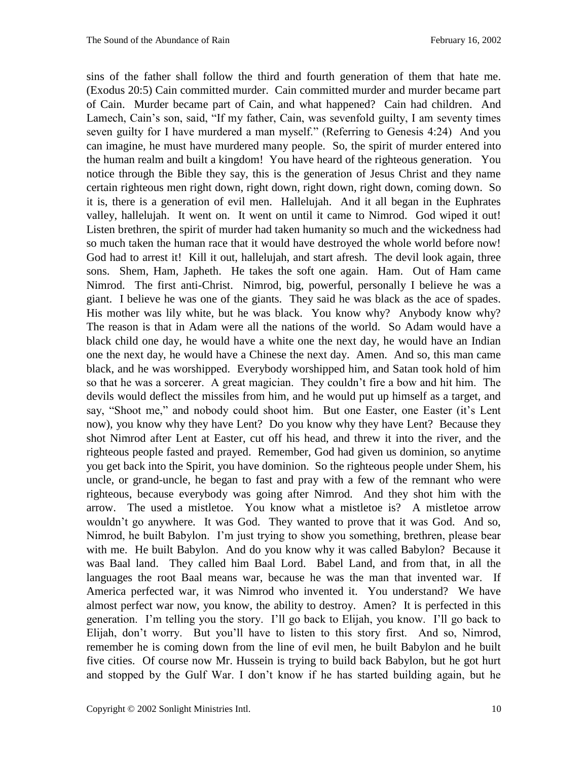sins of the father shall follow the third and fourth generation of them that hate me. (Exodus 20:5) Cain committed murder. Cain committed murder and murder became part of Cain. Murder became part of Cain, and what happened? Cain had children. And Lamech, Cain's son, said, "If my father, Cain, was sevenfold guilty, I am seventy times seven guilty for I have murdered a man myself." (Referring to Genesis 4:24) And you can imagine, he must have murdered many people. So, the spirit of murder entered into the human realm and built a kingdom! You have heard of the righteous generation. You notice through the Bible they say, this is the generation of Jesus Christ and they name certain righteous men right down, right down, right down, right down, coming down. So it is, there is a generation of evil men. Hallelujah. And it all began in the Euphrates valley, hallelujah. It went on. It went on until it came to Nimrod. God wiped it out! Listen brethren, the spirit of murder had taken humanity so much and the wickedness had so much taken the human race that it would have destroyed the whole world before now! God had to arrest it! Kill it out, hallelujah, and start afresh. The devil look again, three sons. Shem, Ham, Japheth. He takes the soft one again. Ham. Out of Ham came Nimrod. The first anti-Christ. Nimrod, big, powerful, personally I believe he was a giant. I believe he was one of the giants. They said he was black as the ace of spades. His mother was lily white, but he was black. You know why? Anybody know why? The reason is that in Adam were all the nations of the world. So Adam would have a black child one day, he would have a white one the next day, he would have an Indian one the next day, he would have a Chinese the next day. Amen. And so, this man came black, and he was worshipped. Everybody worshipped him, and Satan took hold of him so that he was a sorcerer. A great magician. They couldn't fire a bow and hit him. The devils would deflect the missiles from him, and he would put up himself as a target, and say, "Shoot me," and nobody could shoot him. But one Easter, one Easter (it's Lent now), you know why they have Lent? Do you know why they have Lent? Because they shot Nimrod after Lent at Easter, cut off his head, and threw it into the river, and the righteous people fasted and prayed. Remember, God had given us dominion, so anytime you get back into the Spirit, you have dominion. So the righteous people under Shem, his uncle, or grand-uncle, he began to fast and pray with a few of the remnant who were righteous, because everybody was going after Nimrod. And they shot him with the arrow. The used a mistletoe. You know what a mistletoe is? A mistletoe arrow wouldn't go anywhere. It was God. They wanted to prove that it was God. And so, Nimrod, he built Babylon. I'm just trying to show you something, brethren, please bear with me. He built Babylon. And do you know why it was called Babylon? Because it was Baal land. They called him Baal Lord. Babel Land, and from that, in all the languages the root Baal means war, because he was the man that invented war. If America perfected war, it was Nimrod who invented it. You understand? We have almost perfect war now, you know, the ability to destroy. Amen? It is perfected in this generation. I'm telling you the story. I'll go back to Elijah, you know. I'll go back to Elijah, don't worry. But you'll have to listen to this story first. And so, Nimrod, remember he is coming down from the line of evil men, he built Babylon and he built five cities. Of course now Mr. Hussein is trying to build back Babylon, but he got hurt and stopped by the Gulf War. I don't know if he has started building again, but he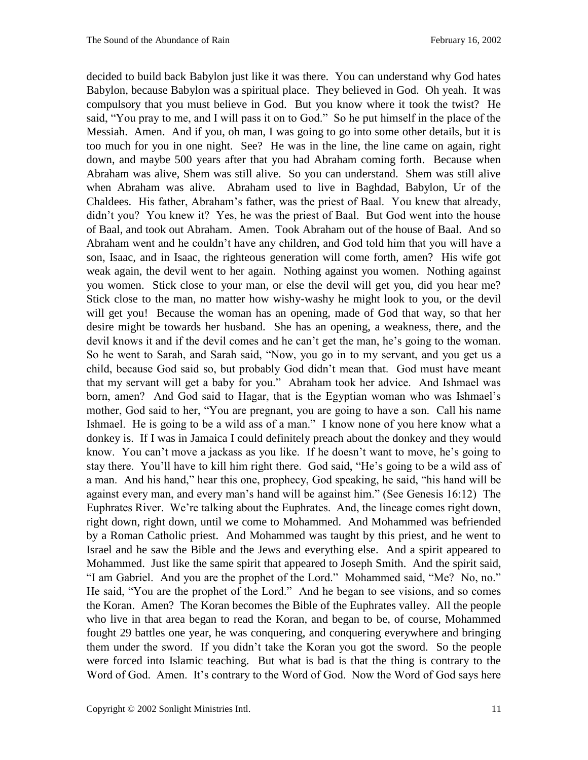decided to build back Babylon just like it was there. You can understand why God hates Babylon, because Babylon was a spiritual place. They believed in God. Oh yeah. It was compulsory that you must believe in God. But you know where it took the twist? He said, "You pray to me, and I will pass it on to God." So he put himself in the place of the Messiah. Amen. And if you, oh man, I was going to go into some other details, but it is too much for you in one night. See? He was in the line, the line came on again, right down, and maybe 500 years after that you had Abraham coming forth. Because when Abraham was alive, Shem was still alive. So you can understand. Shem was still alive when Abraham was alive. Abraham used to live in Baghdad, Babylon, Ur of the Chaldees. His father, Abraham's father, was the priest of Baal. You knew that already, didn't you? You knew it? Yes, he was the priest of Baal. But God went into the house of Baal, and took out Abraham. Amen. Took Abraham out of the house of Baal. And so Abraham went and he couldn't have any children, and God told him that you will have a son, Isaac, and in Isaac, the righteous generation will come forth, amen? His wife got weak again, the devil went to her again. Nothing against you women. Nothing against you women. Stick close to your man, or else the devil will get you, did you hear me? Stick close to the man, no matter how wishy-washy he might look to you, or the devil will get you! Because the woman has an opening, made of God that way, so that her desire might be towards her husband. She has an opening, a weakness, there, and the devil knows it and if the devil comes and he can't get the man, he's going to the woman. So he went to Sarah, and Sarah said, "Now, you go in to my servant, and you get us a child, because God said so, but probably God didn't mean that. God must have meant that my servant will get a baby for you." Abraham took her advice. And Ishmael was born, amen? And God said to Hagar, that is the Egyptian woman who was Ishmael's mother, God said to her, "You are pregnant, you are going to have a son. Call his name Ishmael. He is going to be a wild ass of a man." I know none of you here know what a donkey is. If I was in Jamaica I could definitely preach about the donkey and they would know. You can't move a jackass as you like. If he doesn't want to move, he's going to stay there. You'll have to kill him right there. God said, "He's going to be a wild ass of a man. And his hand," hear this one, prophecy, God speaking, he said, "his hand will be against every man, and every man's hand will be against him." (See Genesis 16:12) The Euphrates River. We're talking about the Euphrates. And, the lineage comes right down, right down, right down, until we come to Mohammed. And Mohammed was befriended by a Roman Catholic priest. And Mohammed was taught by this priest, and he went to Israel and he saw the Bible and the Jews and everything else. And a spirit appeared to Mohammed. Just like the same spirit that appeared to Joseph Smith. And the spirit said, "I am Gabriel. And you are the prophet of the Lord." Mohammed said, "Me? No, no." He said, "You are the prophet of the Lord." And he began to see visions, and so comes the Koran. Amen? The Koran becomes the Bible of the Euphrates valley. All the people who live in that area began to read the Koran, and began to be, of course, Mohammed fought 29 battles one year, he was conquering, and conquering everywhere and bringing them under the sword. If you didn't take the Koran you got the sword. So the people were forced into Islamic teaching. But what is bad is that the thing is contrary to the Word of God. Amen. It's contrary to the Word of God. Now the Word of God says here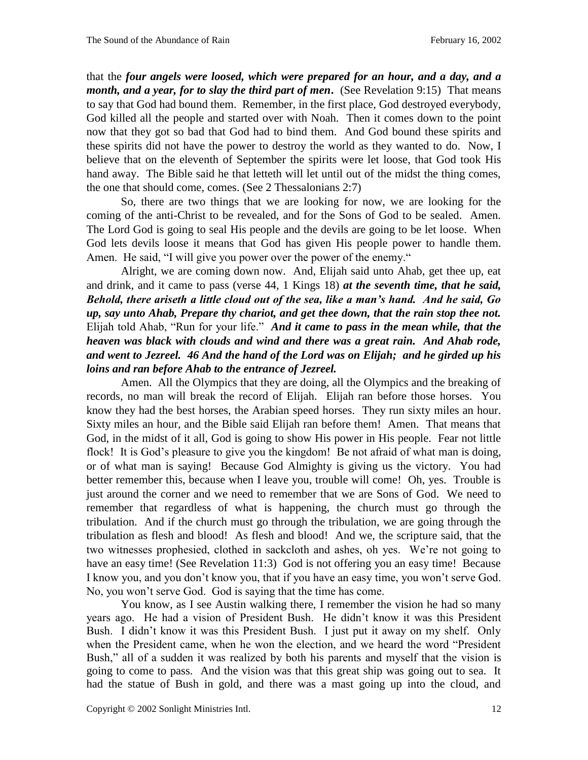that the *four angels were loosed, which were prepared for an hour, and a day, and a month, and a year, for to slay the third part of men***.** (See Revelation 9:15) That means to say that God had bound them. Remember, in the first place, God destroyed everybody, God killed all the people and started over with Noah. Then it comes down to the point now that they got so bad that God had to bind them. And God bound these spirits and these spirits did not have the power to destroy the world as they wanted to do. Now, I believe that on the eleventh of September the spirits were let loose, that God took His hand away. The Bible said he that letteth will let until out of the midst the thing comes, the one that should come, comes. (See 2 Thessalonians 2:7)

So, there are two things that we are looking for now, we are looking for the coming of the anti-Christ to be revealed, and for the Sons of God to be sealed. Amen. The Lord God is going to seal His people and the devils are going to be let loose. When God lets devils loose it means that God has given His people power to handle them. Amen. He said, "I will give you power over the power of the enemy."

Alright, we are coming down now. And, Elijah said unto Ahab, get thee up, eat and drink, and it came to pass (verse 44, 1 Kings 18) *at the seventh time, that he said, Behold, there ariseth a little cloud out of the sea, like a man's hand. And he said, Go up, say unto Ahab, Prepare thy chariot, and get thee down, that the rain stop thee not.* Elijah told Ahab, "Run for your life." *And it came to pass in the mean while, that the heaven was black with clouds and wind and there was a great rain. And Ahab rode, and went to Jezreel. 46 And the hand of the Lord was on Elijah; and he girded up his loins and ran before Ahab to the entrance of Jezreel.* 

Amen. All the Olympics that they are doing, all the Olympics and the breaking of records, no man will break the record of Elijah. Elijah ran before those horses. You know they had the best horses, the Arabian speed horses. They run sixty miles an hour. Sixty miles an hour, and the Bible said Elijah ran before them! Amen. That means that God, in the midst of it all, God is going to show His power in His people. Fear not little flock! It is God's pleasure to give you the kingdom! Be not afraid of what man is doing, or of what man is saying! Because God Almighty is giving us the victory. You had better remember this, because when I leave you, trouble will come! Oh, yes. Trouble is just around the corner and we need to remember that we are Sons of God. We need to remember that regardless of what is happening, the church must go through the tribulation. And if the church must go through the tribulation, we are going through the tribulation as flesh and blood! As flesh and blood! And we, the scripture said, that the two witnesses prophesied, clothed in sackcloth and ashes, oh yes. We're not going to have an easy time! (See Revelation 11:3) God is not offering you an easy time! Because I know you, and you don't know you, that if you have an easy time, you won't serve God. No, you won't serve God. God is saying that the time has come.

You know, as I see Austin walking there, I remember the vision he had so many years ago. He had a vision of President Bush. He didn't know it was this President Bush. I didn't know it was this President Bush. I just put it away on my shelf. Only when the President came, when he won the election, and we heard the word "President Bush," all of a sudden it was realized by both his parents and myself that the vision is going to come to pass. And the vision was that this great ship was going out to sea. It had the statue of Bush in gold, and there was a mast going up into the cloud, and